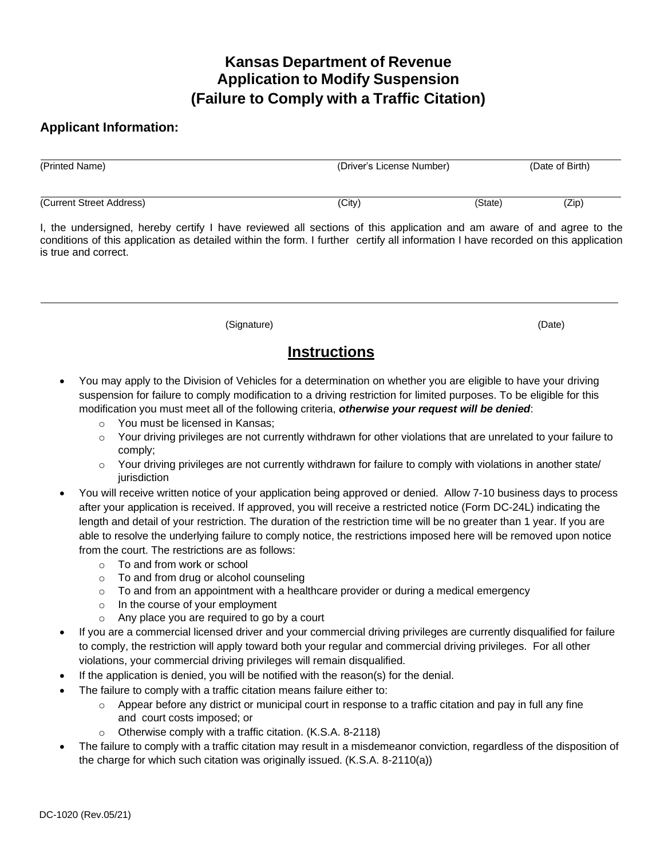## **Kansas Department of Revenue Application to Modify Suspension (Failure to Comply with a Traffic Citation)**

## **Applicant Information:**

| (Printed Name)           | (Driver's License Number) |         | (Date of Birth) |
|--------------------------|---------------------------|---------|-----------------|
| (Current Street Address) | (City)                    | (State) | (Zip)           |

I, the undersigned, hereby certify I have reviewed all sections of this application and am aware of and agree to the conditions of this application as detailed within the form. I further certify all information I have recorded on this application is true and correct.

(Signature) (Date)

## **Instructions**

- You may apply to the Division of Vehicles for a determination on whether you are eligible to have your driving suspension for failure to comply modification to a driving restriction for limited purposes. To be eligible for this modification you must meet all of the following criteria, *otherwise your request will be denied*:
	- o You must be licensed in Kansas;
	- $\circ$  Your driving privileges are not currently withdrawn for other violations that are unrelated to your failure to comply;
	- o Your driving privileges are not currently withdrawn for failure to comply with violations in another state/ jurisdiction
- You will receive written notice of your application being approved or denied. Allow 7-10 business days to process after your application is received. If approved, you will receive a restricted notice (Form DC-24L) indicating the length and detail of your restriction. The duration of the restriction time will be no greater than 1 year. If you are able to resolve the underlying failure to comply notice, the restrictions imposed here will be removed upon notice from the court. The restrictions are as follows:
	- o To and from work or school
	- o To and from drug or alcohol counseling
	- $\circ$  To and from an appointment with a healthcare provider or during a medical emergency
	- $\circ$  In the course of your employment
	- o Any place you are required to go by a court
- If you are a commercial licensed driver and your commercial driving privileges are currently disqualified for failure to comply, the restriction will apply toward both your regular and commercial driving privileges. For all other violations, your commercial driving privileges will remain disqualified.
- If the application is denied, you will be notified with the reason(s) for the denial.
- The failure to comply with a traffic citation means failure either to:
	- $\circ$  Appear before any district or municipal court in response to a traffic citation and pay in full any fine and court costs imposed; or
	- o Otherwise comply with a traffic citation. (K.S.A. 8-2118)
- The failure to comply with a traffic citation may result in a misdemeanor conviction, regardless of the disposition of the charge for which such citation was originally issued. (K.S.A. 8-2110(a))